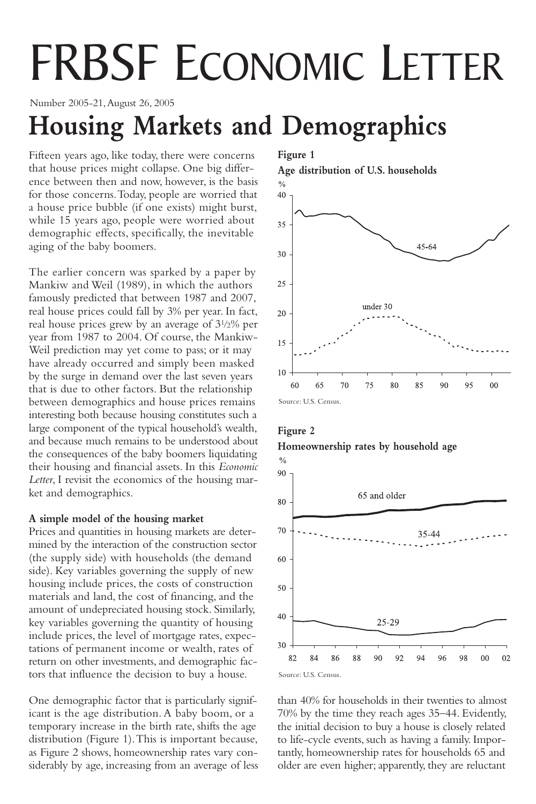# FRBSF ECONOMIC LETTER

Number 2005-21,August 26, 2005

## **Housing Markets and Demographics**

Fifteen years ago, like today, there were concerns that house prices might collapse. One big difference between then and now, however, is the basis for those concerns.Today, people are worried that a house price bubble (if one exists) might burst, while 15 years ago, people were worried about demographic effects, specifically, the inevitable aging of the baby boomers.

The earlier concern was sparked by a paper by Mankiw and Weil (1989), in which the authors famously predicted that between 1987 and 2007, real house prices could fall by 3% per year. In fact, real house prices grew by an average of 31/2% per year from 1987 to 2004. Of course, the Mankiw-Weil prediction may yet come to pass; or it may have already occurred and simply been masked by the surge in demand over the last seven years that is due to other factors. But the relationship between demographics and house prices remains interesting both because housing constitutes such a large component of the typical household's wealth, and because much remains to be understood about the consequences of the baby boomers liquidating their housing and financial assets. In this *Economic Letter*, I revisit the economics of the housing market and demographics.

### **A simple model of the housing market**

Prices and quantities in housing markets are determined by the interaction of the construction sector (the supply side) with households (the demand side). Key variables governing the supply of new housing include prices, the costs of construction materials and land, the cost of financing, and the amount of undepreciated housing stock. Similarly, key variables governing the quantity of housing include prices, the level of mortgage rates, expectations of permanent income or wealth, rates of return on other investments, and demographic factors that influence the decision to buy a house.

One demographic factor that is particularly significant is the age distribution. A baby boom, or a temporary increase in the birth rate, shifts the age distribution (Figure 1).This is important because, as Figure 2 shows, homeownership rates vary considerably by age, increasing from an average of less **Figure 1**

**Age distribution of U.S. households**







than 40% for households in their twenties to almost 70% by the time they reach ages 35–44. Evidently, the initial decision to buy a house is closely related to life-cycle events, such as having a family. Importantly, homeownership rates for households 65 and older are even higher; apparently, they are reluctant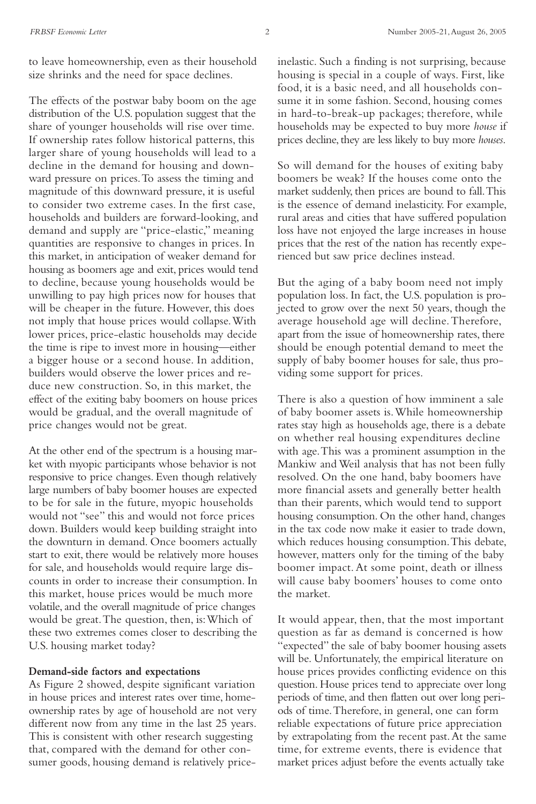to leave homeownership, even as their household size shrinks and the need for space declines.

The effects of the postwar baby boom on the age distribution of the U.S. population suggest that the share of younger households will rise over time. If ownership rates follow historical patterns, this larger share of young households will lead to a decline in the demand for housing and downward pressure on prices.To assess the timing and magnitude of this downward pressure, it is useful to consider two extreme cases. In the first case, households and builders are forward-looking, and demand and supply are "price-elastic," meaning quantities are responsive to changes in prices. In this market, in anticipation of weaker demand for housing as boomers age and exit, prices would tend to decline, because young households would be unwilling to pay high prices now for houses that will be cheaper in the future. However, this does not imply that house prices would collapse.With lower prices, price-elastic households may decide the time is ripe to invest more in housing—either a bigger house or a second house. In addition, builders would observe the lower prices and reduce new construction. So, in this market, the effect of the exiting baby boomers on house prices would be gradual, and the overall magnitude of price changes would not be great.

At the other end of the spectrum is a housing market with myopic participants whose behavior is not responsive to price changes. Even though relatively large numbers of baby boomer houses are expected to be for sale in the future, myopic households would not "see" this and would not force prices down. Builders would keep building straight into the downturn in demand. Once boomers actually start to exit, there would be relatively more houses for sale, and households would require large discounts in order to increase their consumption. In this market, house prices would be much more volatile, and the overall magnitude of price changes would be great.The question, then, is:Which of these two extremes comes closer to describing the U.S. housing market today?

#### **Demand-side factors and expectations**

As Figure 2 showed, despite significant variation in house prices and interest rates over time, homeownership rates by age of household are not very different now from any time in the last 25 years. This is consistent with other research suggesting that, compared with the demand for other consumer goods, housing demand is relatively price-

So will demand for the houses of exiting baby boomers be weak? If the houses come onto the market suddenly, then prices are bound to fall.This is the essence of demand inelasticity. For example, rural areas and cities that have suffered population loss have not enjoyed the large increases in house prices that the rest of the nation has recently experienced but saw price declines instead.

But the aging of a baby boom need not imply population loss. In fact, the U.S. population is projected to grow over the next 50 years, though the average household age will decline.Therefore, apart from the issue of homeownership rates, there should be enough potential demand to meet the supply of baby boomer houses for sale, thus providing some support for prices.

There is also a question of how imminent a sale of baby boomer assets is.While homeownership rates stay high as households age, there is a debate on whether real housing expenditures decline with age.This was a prominent assumption in the Mankiw and Weil analysis that has not been fully resolved. On the one hand, baby boomers have more financial assets and generally better health than their parents, which would tend to support housing consumption. On the other hand, changes in the tax code now make it easier to trade down, which reduces housing consumption.This debate, however, matters only for the timing of the baby boomer impact. At some point, death or illness will cause baby boomers' houses to come onto the market.

It would appear, then, that the most important question as far as demand is concerned is how "expected" the sale of baby boomer housing assets will be. Unfortunately, the empirical literature on house prices provides conflicting evidence on this question. House prices tend to appreciate over long periods of time, and then flatten out over long periods of time.Therefore, in general, one can form reliable expectations of future price appreciation by extrapolating from the recent past.At the same time, for extreme events, there is evidence that market prices adjust before the events actually take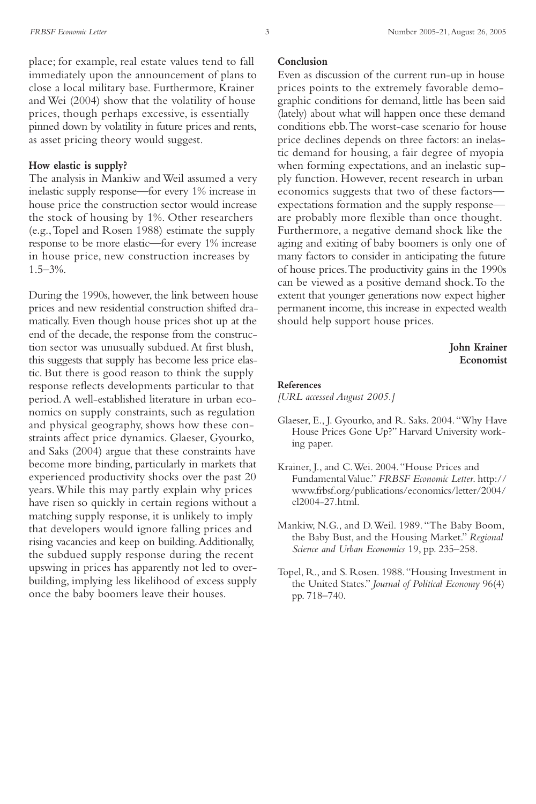place; for example, real estate values tend to fall immediately upon the announcement of plans to close a local military base. Furthermore, Krainer and Wei (2004) show that the volatility of house prices, though perhaps excessive, is essentially pinned down by volatility in future prices and rents, as asset pricing theory would suggest.

#### **How elastic is supply?**

The analysis in Mankiw and Weil assumed a very inelastic supply response—for every 1% increase in house price the construction sector would increase the stock of housing by 1%. Other researchers (e.g.,Topel and Rosen 1988) estimate the supply response to be more elastic—for every 1% increase in house price, new construction increases by 1.5–3%.

During the 1990s, however, the link between house prices and new residential construction shifted dramatically. Even though house prices shot up at the end of the decade, the response from the construction sector was unusually subdued.At first blush, this suggests that supply has become less price elastic. But there is good reason to think the supply response reflects developments particular to that period.A well-established literature in urban economics on supply constraints, such as regulation and physical geography, shows how these constraints affect price dynamics. Glaeser, Gyourko, and Saks (2004) argue that these constraints have become more binding, particularly in markets that experienced productivity shocks over the past 20 years.While this may partly explain why prices have risen so quickly in certain regions without a matching supply response, it is unlikely to imply that developers would ignore falling prices and rising vacancies and keep on building.Additionally, the subdued supply response during the recent upswing in prices has apparently not led to overbuilding, implying less likelihood of excess supply once the baby boomers leave their houses.

#### **Conclusion**

Even as discussion of the current run-up in house prices points to the extremely favorable demographic conditions for demand, little has been said (lately) about what will happen once these demand conditions ebb.The worst-case scenario for house price declines depends on three factors: an inelastic demand for housing, a fair degree of myopia when forming expectations, and an inelastic supply function. However, recent research in urban economics suggests that two of these factors expectations formation and the supply response are probably more flexible than once thought. Furthermore, a negative demand shock like the aging and exiting of baby boomers is only one of many factors to consider in anticipating the future of house prices.The productivity gains in the 1990s can be viewed as a positive demand shock.To the extent that younger generations now expect higher permanent income, this increase in expected wealth should help support house prices.

> **John Krainer Economist**

#### **References**

*[URL accessed August 2005.]*

- Glaeser, E., J. Gyourko, and R. Saks. 2004."Why Have House Prices Gone Up?" Harvard University working paper.
- Krainer, J., and C.Wei. 2004."House Prices and Fundamental Value." *FRBSF Economic Letter*. http:// www.frbsf.org/publications/economics/letter/2004/ el2004-27.html.
- Mankiw, N.G., and D.Weil. 1989."The Baby Boom, the Baby Bust, and the Housing Market." *Regional Science and Urban Economics* 19, pp. 235–258.
- Topel, R., and S. Rosen. 1988."Housing Investment in the United States." *Journal of Political Economy* 96(4) pp. 718–740.